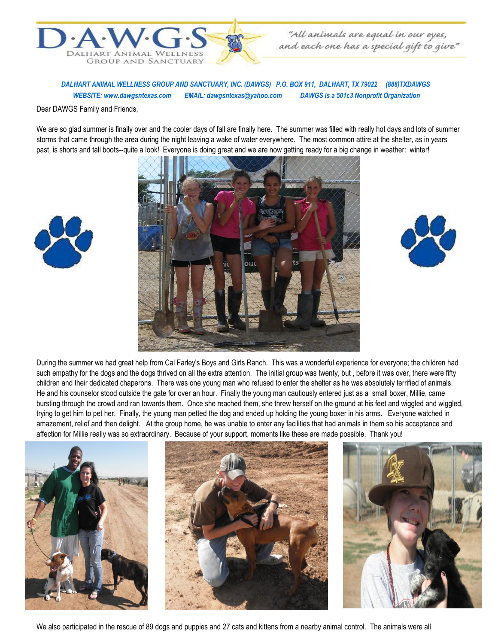

"All animals are equal in our eyes,<br>"and each one has a special gift to give"

 *DALHART ANIMAL WELLNESS GROUP AND SANCTUARY, INC. (DAWGS) P.O. BOX 911, DALHART, TX 79022 (888)TXDAWGS WEBSITE: www.dawgsntexas.com EMAIL: dawgsntexas@yahoo.com DAWGS is a 501c3 Nonprofit Organization* 

Dear DAWGS Family and Friends,

We are so glad summer is finally over and the cooler days of fall are finally here. The summer was filled with really hot days and lots of summer storms that came through the area during the night leaving a wake of water everywhere. The most common attire at the shelter, as in years past, is shorts and tall boots--quite a look! Everyone is doing great and we are now getting ready for a big change in weather: winter!







During the summer we had great help from Cal Farley's Boys and Girls Ranch. This was a wonderful experience for everyone; the children had such empathy for the dogs and the dogs thrived on all the extra attention. The initial group was twenty, but , before it was over, there were fifty children and their dedicated chaperons. There was one young man who refused to enter the shelter as he was absolutely terrified of animals. He and his counselor stood outside the gate for over an hour. Finally the young man cautiously entered just as a small boxer, Millie, came bursting through the crowd and ran towards them. Once she reached them, she threw herself on the ground at his feet and wiggled and wiggled, trying to get him to pet her. Finally, the young man petted the dog and ended up holding the young boxer in his arms. Everyone watched in amazement, relief and then delight. At the group home, he was unable to enter any facilities that had animals in them so his acceptance and affection for Millie really was so extraordinary. Because of your support, moments like these are made possible. Thank you!



We also participated in the rescue of 89 dogs and puppies and 27 cats and kittens from a nearby animal control. The animals were all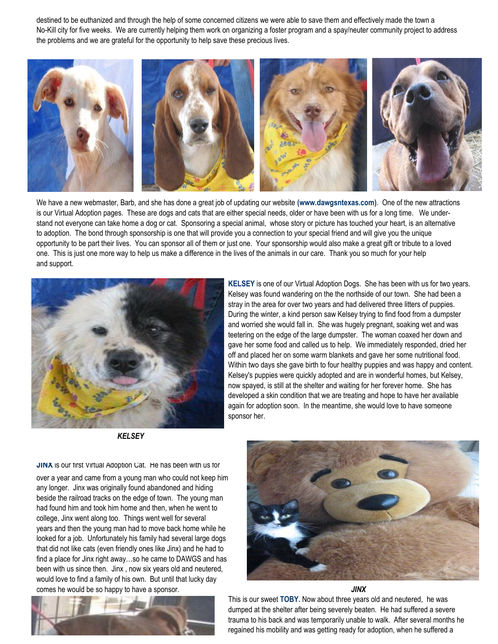destined to be euthanized and through the help of some concerned citizens we were able to save them and effectively made the town a No-Kill city for five weeks. We are currently helping them work on organizing a foster program and a spay/neuter community project to address the problems and we are grateful for the opportunity to help save these precious lives.



We have a new webmaster, Barb, and she has done a great job of updating our website **(www.dawgsntexas.com)**. One of the new attractions is our Virtual Adoption pages. These are dogs and cats that are either special needs, older or have been with us for a long time. We understand not everyone can take home a dog or cat. Sponsoring a special animal, whose story or picture has touched your heart, is an alternative to adoption. The bond through sponsorship is one that will provide you a connection to your special friend and will give you the unique opportunity to be part their lives. You can sponsor all of them or just one. Your sponsorship would also make a great gift or tribute to a loved one. This is just one more way to help us make a difference in the lives of the animals in our care. Thank you so much for your help and support.



*KELSEY*

**KELSEY** is one of our Virtual Adoption Dogs. She has been with us for two years. Kelsey was found wandering on the the northside of our town. She had been a stray in the area for over two years and had delivered three litters of puppies. During the winter, a kind person saw Kelsey trying to find food from a dumpster and worried she would fall in. She was hugely pregnant, soaking wet and was teetering on the edge of the large dumpster. The woman coaxed her down and gave her some food and called us to help. We immediately responded, dried her off and placed her on some warm blankets and gave her some nutritional food. Within two days she gave birth to four healthy puppies and was happy and content. Kelsey's puppies were quickly adopted and are in wonderful homes, but Kelsey, now spayed, is still at the shelter and waiting for her forever home. She has developed a skin condition that we are treating and hope to have her available again for adoption soon. In the meantime, she would love to have someone sponsor her.

**JINX** is our first Virtual Adoption Cat. He has been with us for

over a year and came from a young man who could not keep him any longer. Jinx was originally found abandoned and hiding beside the railroad tracks on the edge of town. The young man had found him and took him home and then, when he went to college, Jinx went along too. Things went well for several years and then the young man had to move back home while he looked for a job. Unfortunately his family had several large dogs that did not like cats (even friendly ones like Jinx) and he had to find a place for Jinx right away…so he came to DAWGS and has been with us since then. Jinx , now six years old and neutered, would love to find a family of his own. But until that lucky day comes he would be so happy to have a sponsor. *JINX*





This is our sweet **TOBY.** Now about three years old and neutered,he was dumped at the shelter after being severely beaten. He had suffered a severe trauma to his back and was temporarily unable to walk. After several months he regained his mobility and was getting ready for adoption, when he suffered a